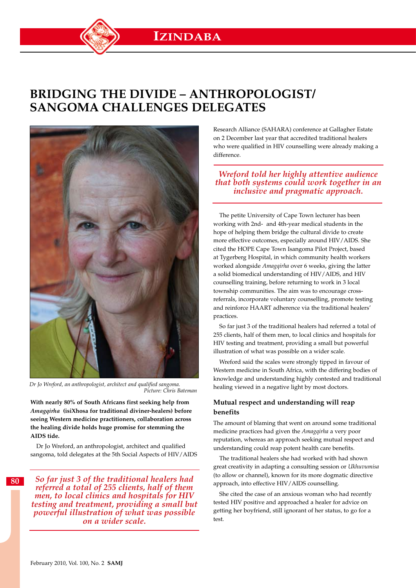# **Bridging the divide – anthropologist/ sangoma challenges delegates**



*Dr Jo Wreford, an anthropologist, architect and qualified sangoma. Picture: Chris Bateman* 

**With nearly 80% of South Africans first seeking help from**  *Amagqirha* **(isiXhosa for traditional diviner-healers) before seeing Western medicine practitioners, collaboration across the healing divide holds huge promise for stemming the AIDS tide.**

Dr Jo Wreford, an anthropologist, architect and qualified sangoma, told delegates at the 5th Social Aspects of HIV/AIDS

*So far just 3 of the traditional healers had referred a total of 255 clients, half of them men, to local clinics and hospitals for HIV testing and treatment, providing a small but powerful illustration of what was possible on a wider scale.*

Research Alliance (SAHARA) conference at Gallagher Estate on 2 December last year that accredited traditional healers who were qualified in HIV counselling were already making a difference.

### *Wreford told her highly attentive audience that both systems could work together in an inclusive and pragmatic approach.*

The petite University of Cape Town lecturer has been working with 2nd- and 4th-year medical students in the hope of helping them bridge the cultural divide to create more effective outcomes, especially around HIV/AIDS. She cited the HOPE Cape Town Isangoma Pilot Project, based at Tygerberg Hospital, in which community health workers worked alongside *Amagqirha* over 6 weeks, giving the latter a solid biomedical understanding of HIV/AIDS, and HIV counselling training, before returning to work in 3 local township communities. The aim was to encourage crossreferrals, incorporate voluntary counselling, promote testing and reinforce HAART adherence via the traditional healers' practices.

So far just 3 of the traditional healers had referred a total of 255 clients, half of them men, to local clinics and hospitals for HIV testing and treatment, providing a small but powerful illustration of what was possible on a wider scale.

Wreford said the scales were strongly tipped in favour of Western medicine in South Africa, with the differing bodies of knowledge and understanding highly contested and traditional healing viewed in a negative light by most doctors.

### **Mutual respect and understanding will reap benefits**

The amount of blaming that went on around some traditional medicine practices had given the *Amagqirha* a very poor reputation, whereas an approach seeking mutual respect and understanding could reap potent health care benefits.

The traditional healers she had worked with had shown great creativity in adapting a consulting session or *Ukhuvumisa* (to allow or channel), known for its more dogmatic directive approach, into effective HIV/AIDS counselling.

She cited the case of an anxious woman who had recently tested HIV positive and approached a healer for advice on getting her boyfriend, still ignorant of her status, to go for a test.

**80**